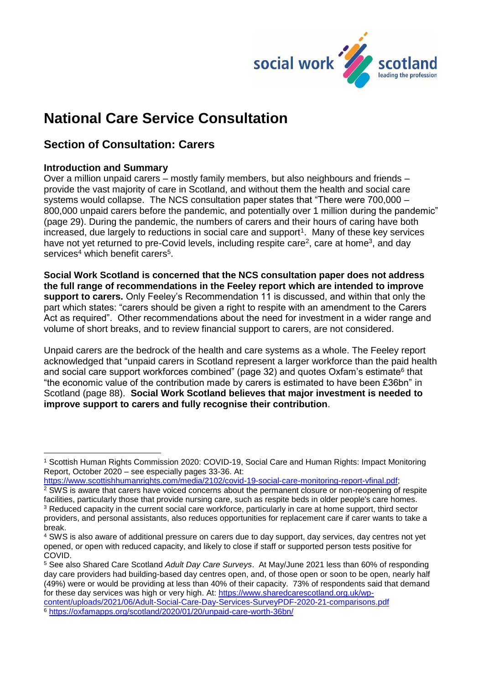

# **National Care Service Consultation**

# **Section of Consultation: Carers**

## **Introduction and Summary**

1

Over a million unpaid carers – mostly family members, but also neighbours and friends – provide the vast majority of care in Scotland, and without them the health and social care systems would collapse. The NCS consultation paper states that "There were 700,000 – 800,000 unpaid carers before the pandemic, and potentially over 1 million during the pandemic" (page 29). During the pandemic, the numbers of carers and their hours of caring have both increased, due largely to reductions in social care and support<sup>1</sup>. Many of these key services have not yet returned to pre-Covid levels, including respite care<sup>2</sup>, care at home<sup>3</sup>, and day services<sup>4</sup> which benefit carers<sup>5</sup>.

**Social Work Scotland is concerned that the NCS consultation paper does not address the full range of recommendations in the Feeley report which are intended to improve support to carers.** Only Feeley's Recommendation 11 is discussed, and within that only the part which states: "carers should be given a right to respite with an amendment to the Carers Act as required". Other recommendations about the need for investment in a wider range and volume of short breaks, and to review financial support to carers, are not considered.

Unpaid carers are the bedrock of the health and care systems as a whole. The Feeley report acknowledged that "unpaid carers in Scotland represent a larger workforce than the paid health and social care support workforces combined" (page 32) and quotes Oxfam's estimate<sup>6</sup> that "the economic value of the contribution made by carers is estimated to have been £36bn" in Scotland (page 88). **Social Work Scotland believes that major investment is needed to improve support to carers and fully recognise their contribution**.

<sup>1</sup> Scottish Human Rights Commission 2020: COVID-19, Social Care and Human Rights: Impact Monitoring Report, October 2020 – see especially pages 33-36. At:

[https://www.scottishhumanrights.com/media/2102/covid-19-social-care-monitoring-report-vfinal.pdf;](https://www.scottishhumanrights.com/media/2102/covid-19-social-care-monitoring-report-vfinal.pdf)

<sup>2</sup> SWS is aware that carers have voiced concerns about the permanent closure or non-reopening of respite facilities, particularly those that provide nursing care, such as respite beds in older people's care homes. <sup>3</sup> Reduced capacity in the current social care workforce, particularly in care at home support, third sector providers, and personal assistants, also reduces opportunities for replacement care if carer wants to take a break.

<sup>4</sup> SWS is also aware of additional pressure on carers due to day support, day services, day centres not yet opened, or open with reduced capacity, and likely to close if staff or supported person tests positive for COVID.

<sup>5</sup> See also Shared Care Scotland *Adult Day Care Surveys*. At May/June 2021 less than 60% of responding day care providers had building-based day centres open, and, of those open or soon to be open, nearly half (49%) were or would be providing at less than 40% of their capacity. 73% of respondents said that demand for these day services was high or very high. At: [https://www.sharedcarescotland.org.uk/wp-](https://www.sharedcarescotland.org.uk/wp-content/uploads/2021/06/Adult-Social-Care-Day-Services-SurveyPDF-2020-21-comparisons.pdf)

[content/uploads/2021/06/Adult-Social-Care-Day-Services-SurveyPDF-2020-21-comparisons.pdf](https://www.sharedcarescotland.org.uk/wp-content/uploads/2021/06/Adult-Social-Care-Day-Services-SurveyPDF-2020-21-comparisons.pdf) <sup>6</sup> <https://oxfamapps.org/scotland/2020/01/20/unpaid-care-worth-36bn/>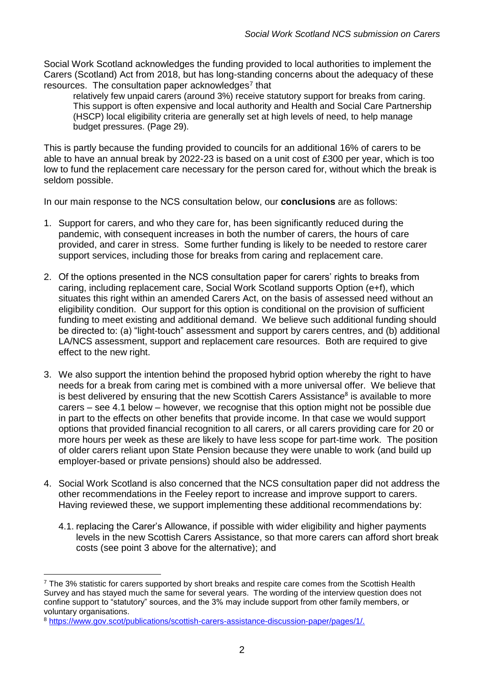Social Work Scotland acknowledges the funding provided to local authorities to implement the Carers (Scotland) Act from 2018, but has long-standing concerns about the adequacy of these resources. The consultation paper acknowledges<sup>7</sup> that

relatively few unpaid carers (around 3%) receive statutory support for breaks from caring. This support is often expensive and local authority and Health and Social Care Partnership (HSCP) local eligibility criteria are generally set at high levels of need, to help manage budget pressures. (Page 29).

This is partly because the funding provided to councils for an additional 16% of carers to be able to have an annual break by 2022-23 is based on a unit cost of £300 per year, which is too low to fund the replacement care necessary for the person cared for, without which the break is seldom possible.

In our main response to the NCS consultation below, our **conclusions** are as follows:

- 1. Support for carers, and who they care for, has been significantly reduced during the pandemic, with consequent increases in both the number of carers, the hours of care provided, and carer in stress. Some further funding is likely to be needed to restore carer support services, including those for breaks from caring and replacement care.
- 2. Of the options presented in the NCS consultation paper for carers' rights to breaks from caring, including replacement care, Social Work Scotland supports Option (e+f), which situates this right within an amended Carers Act, on the basis of assessed need without an eligibility condition. Our support for this option is conditional on the provision of sufficient funding to meet existing and additional demand. We believe such additional funding should be directed to: (a) "light-touch" assessment and support by carers centres, and (b) additional LA/NCS assessment, support and replacement care resources. Both are required to give effect to the new right.
- 3. We also support the intention behind the proposed hybrid option whereby the right to have needs for a break from caring met is combined with a more universal offer. We believe that is best delivered by ensuring that the new Scottish Carers Assistance<sup>8</sup> is available to more carers – see 4.1 below – however, we recognise that this option might not be possible due in part to the effects on other benefits that provide income. In that case we would support options that provided financial recognition to all carers, or all carers providing care for 20 or more hours per week as these are likely to have less scope for part-time work. The position of older carers reliant upon State Pension because they were unable to work (and build up employer-based or private pensions) should also be addressed.
- 4. Social Work Scotland is also concerned that the NCS consultation paper did not address the other recommendations in the Feeley report to increase and improve support to carers. Having reviewed these, we support implementing these additional recommendations by:
	- 4.1. replacing the Carer's Allowance, if possible with wider eligibility and higher payments levels in the new Scottish Carers Assistance, so that more carers can afford short break costs (see point 3 above for the alternative); and

1

 $<sup>7</sup>$  The 3% statistic for carers supported by short breaks and respite care comes from the Scottish Health</sup> Survey and has stayed much the same for several years. The wording of the interview question does not confine support to "statutory" sources, and the 3% may include support from other family members, or voluntary organisations.

<sup>8</sup> [https://www.gov.scot/publications/scottish-carers-assistance-discussion-paper/pages/1/.](https://www.gov.scot/publications/scottish-carers-assistance-discussion-paper/pages/1/)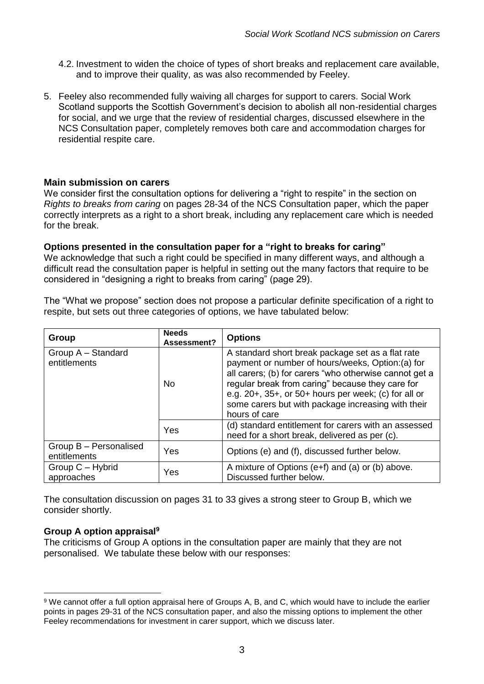- 4.2. Investment to widen the choice of types of short breaks and replacement care available, and to improve their quality, as was also recommended by Feeley.
- 5. Feeley also recommended fully waiving all charges for support to carers. Social Work Scotland supports the Scottish Government's decision to abolish all non-residential charges for social, and we urge that the review of residential charges, discussed elsewhere in the NCS Consultation paper, completely removes both care and accommodation charges for residential respite care.

## **Main submission on carers**

We consider first the consultation options for delivering a "right to respite" in the section on *Rights to breaks from caring* on pages 28-34 of the NCS Consultation paper, which the paper correctly interprets as a right to a short break, including any replacement care which is needed for the break.

#### **Options presented in the consultation paper for a "right to breaks for caring"**

We acknowledge that such a right could be specified in many different ways, and although a difficult read the consultation paper is helpful in setting out the many factors that require to be considered in "designing a right to breaks from caring" (page 29).

The "What we propose" section does not propose a particular definite specification of a right to respite, but sets out three categories of options, we have tabulated below:

| Group                                  | <b>Needs</b><br>Assessment? | <b>Options</b>                                                                                                                                                                                                                                                                                                                                             |
|----------------------------------------|-----------------------------|------------------------------------------------------------------------------------------------------------------------------------------------------------------------------------------------------------------------------------------------------------------------------------------------------------------------------------------------------------|
| Group A - Standard<br>entitlements     | <b>No</b>                   | A standard short break package set as a flat rate<br>payment or number of hours/weeks, Option:(a) for<br>all carers; (b) for carers "who otherwise cannot get a<br>regular break from caring" because they care for<br>e.g. $20+$ , $35+$ , or $50+$ hours per week; (c) for all or<br>some carers but with package increasing with their<br>hours of care |
|                                        | Yes                         | (d) standard entitlement for carers with an assessed<br>need for a short break, delivered as per (c).                                                                                                                                                                                                                                                      |
| Group B - Personalised<br>entitlements | Yes                         | Options (e) and (f), discussed further below.                                                                                                                                                                                                                                                                                                              |
| Group $C - H$ ybrid<br>approaches      | Yes                         | A mixture of Options (e+f) and (a) or (b) above.<br>Discussed further below.                                                                                                                                                                                                                                                                               |

The consultation discussion on pages 31 to 33 gives a strong steer to Group B, which we consider shortly.

#### **Group A option appraisal<sup>9</sup>**

The criticisms of Group A options in the consultation paper are mainly that they are not personalised. We tabulate these below with our responses:

 $\overline{a}$ <sup>9</sup> We cannot offer a full option appraisal here of Groups A, B, and C, which would have to include the earlier points in pages 29-31 of the NCS consultation paper, and also the missing options to implement the other Feeley recommendations for investment in carer support, which we discuss later.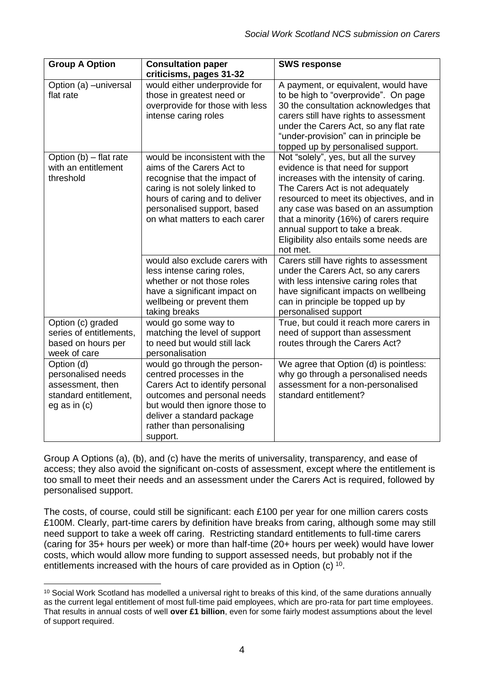| <b>Group A Option</b>                                                                           | <b>Consultation paper</b>                                                                                                                                                                                                                                         | <b>SWS response</b>                                                                                                                                                                                                                                                                                                                                                                                                         |
|-------------------------------------------------------------------------------------------------|-------------------------------------------------------------------------------------------------------------------------------------------------------------------------------------------------------------------------------------------------------------------|-----------------------------------------------------------------------------------------------------------------------------------------------------------------------------------------------------------------------------------------------------------------------------------------------------------------------------------------------------------------------------------------------------------------------------|
|                                                                                                 | criticisms, pages 31-32                                                                                                                                                                                                                                           |                                                                                                                                                                                                                                                                                                                                                                                                                             |
| Option (a) -universal<br>flat rate                                                              | would either underprovide for<br>those in greatest need or<br>overprovide for those with less<br>intense caring roles                                                                                                                                             | A payment, or equivalent, would have<br>to be high to "overprovide". On page<br>30 the consultation acknowledges that<br>carers still have rights to assessment<br>under the Carers Act, so any flat rate<br>"under-provision" can in principle be<br>topped up by personalised support.                                                                                                                                    |
| Option (b) - flat rate<br>with an entitlement<br>threshold                                      | would be inconsistent with the<br>aims of the Carers Act to<br>recognise that the impact of<br>caring is not solely linked to<br>hours of caring and to deliver<br>personalised support, based<br>on what matters to each carer<br>would also exclude carers with | Not "solely", yes, but all the survey<br>evidence is that need for support<br>increases with the intensity of caring.<br>The Carers Act is not adequately<br>resourced to meet its objectives, and in<br>any case was based on an assumption<br>that a minority (16%) of carers require<br>annual support to take a break.<br>Eligibility also entails some needs are<br>not met.<br>Carers still have rights to assessment |
|                                                                                                 | less intense caring roles,<br>whether or not those roles<br>have a significant impact on<br>wellbeing or prevent them<br>taking breaks                                                                                                                            | under the Carers Act, so any carers<br>with less intensive caring roles that<br>have significant impacts on wellbeing<br>can in principle be topped up by<br>personalised support                                                                                                                                                                                                                                           |
| Option (c) graded<br>series of entitlements,<br>based on hours per<br>week of care              | would go some way to<br>matching the level of support<br>to need but would still lack<br>personalisation                                                                                                                                                          | True, but could it reach more carers in<br>need of support than assessment<br>routes through the Carers Act?                                                                                                                                                                                                                                                                                                                |
| Option (d)<br>personalised needs<br>assessment, then<br>standard entitlement,<br>eg as in $(c)$ | would go through the person-<br>centred processes in the<br>Carers Act to identify personal<br>outcomes and personal needs<br>but would then ignore those to<br>deliver a standard package<br>rather than personalising<br>support.                               | We agree that Option (d) is pointless:<br>why go through a personalised needs<br>assessment for a non-personalised<br>standard entitlement?                                                                                                                                                                                                                                                                                 |

Group A Options (a), (b), and (c) have the merits of universality, transparency, and ease of access; they also avoid the significant on-costs of assessment, except where the entitlement is too small to meet their needs and an assessment under the Carers Act is required, followed by personalised support.

The costs, of course, could still be significant: each £100 per year for one million carers costs £100M. Clearly, part-time carers by definition have breaks from caring, although some may still need support to take a week off caring. Restricting standard entitlements to full-time carers (caring for 35+ hours per week) or more than half-time (20+ hours per week) would have lower costs, which would allow more funding to support assessed needs, but probably not if the entitlements increased with the hours of care provided as in Option (c) <sup>10</sup>.

1

<sup>&</sup>lt;sup>10</sup> Social Work Scotland has modelled a universal right to breaks of this kind, of the same durations annually as the current legal entitlement of most full-time paid employees, which are pro-rata for part time employees. That results in annual costs of well **over £1 billion**, even for some fairly modest assumptions about the level of support required.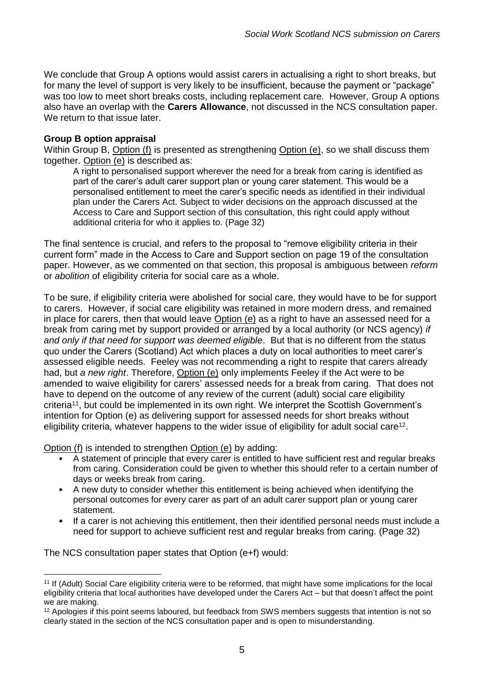We conclude that Group A options would assist carers in actualising a right to short breaks, but for many the level of support is very likely to be insufficient, because the payment or "package" was too low to meet short breaks costs, including replacement care. However, Group A options also have an overlap with the **Carers Allowance**, not discussed in the NCS consultation paper. We return to that issue later.

#### **Group B option appraisal**

Within Group B, Option (f) is presented as strengthening Option (e), so we shall discuss them together. Option (e) is described as:

A right to personalised support wherever the need for a break from caring is identified as part of the carer's adult carer support plan or young carer statement. This would be a personalised entitlement to meet the carer's specific needs as identified in their individual plan under the Carers Act. Subject to wider decisions on the approach discussed at the Access to Care and Support section of this consultation, this right could apply without additional criteria for who it applies to. (Page 32)

The final sentence is crucial, and refers to the proposal to "remove eligibility criteria in their current form" made in the Access to Care and Support section on page 19 of the consultation paper. However, as we commented on that section, this proposal is ambiguous between *reform* or *abolition* of eligibility criteria for social care as a whole.

To be sure, if eligibility criteria were abolished for social care, they would have to be for support to carers. However, if social care eligibility was retained in more modern dress, and remained in place for carers, then that would leave Option (e) as a right to have an assessed need for a break from caring met by support provided or arranged by a local authority (or NCS agency) *if and only if that need for support was deemed eligible*. But that is no different from the status quo under the Carers (Scotland) Act which places a duty on local authorities to meet carer's assessed eligible needs. Feeley was not recommending a right to respite that carers already had, but *a new right*. Therefore, Option (e) only implements Feeley if the Act were to be amended to waive eligibility for carers' assessed needs for a break from caring. That does not have to depend on the outcome of any review of the current (adult) social care eligibility criteria<sup>11</sup>, but could be implemented in its own right. We interpret the Scottish Government's intention for Option (e) as delivering support for assessed needs for short breaks without eligibility criteria, whatever happens to the wider issue of eligibility for adult social care<sup>12</sup>.

Option (f) is intended to strengthen Option (e) by adding:

- A statement of principle that every carer is entitled to have sufficient rest and regular breaks from caring. Consideration could be given to whether this should refer to a certain number of days or weeks break from caring.
- A new duty to consider whether this entitlement is being achieved when identifying the personal outcomes for every carer as part of an adult carer support plan or young carer statement.
- If a carer is not achieving this entitlement, then their identified personal needs must include a need for support to achieve sufficient rest and regular breaks from caring. (Page 32)

The NCS consultation paper states that Option (e+f) would:

<sup>1</sup> <sup>11</sup> If (Adult) Social Care eligibility criteria were to be reformed, that might have some implications for the local eligibility criteria that local authorities have developed under the Carers Act – but that doesn't affect the point we are making.

<sup>&</sup>lt;sup>12</sup> Apologies if this point seems laboured, but feedback from SWS members suggests that intention is not so clearly stated in the section of the NCS consultation paper and is open to misunderstanding.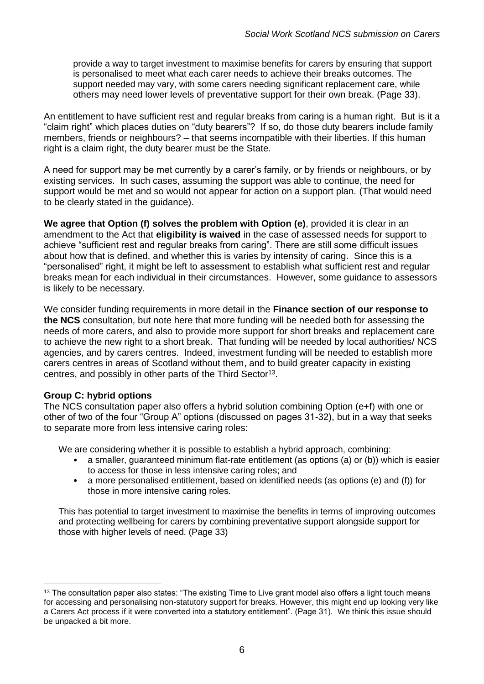provide a way to target investment to maximise benefits for carers by ensuring that support is personalised to meet what each carer needs to achieve their breaks outcomes. The support needed may vary, with some carers needing significant replacement care, while others may need lower levels of preventative support for their own break. (Page 33).

An entitlement to have sufficient rest and regular breaks from caring is a human right. But is it a "claim right" which places duties on "duty bearers"? If so, do those duty bearers include family members, friends or neighbours? – that seems incompatible with their liberties. If this human right is a claim right, the duty bearer must be the State.

A need for support may be met currently by a carer's family, or by friends or neighbours, or by existing services. In such cases, assuming the support was able to continue, the need for support would be met and so would not appear for action on a support plan. (That would need to be clearly stated in the guidance).

**We agree that Option (f) solves the problem with Option (e)**, provided it is clear in an amendment to the Act that **eligibility is waived** in the case of assessed needs for support to achieve "sufficient rest and regular breaks from caring". There are still some difficult issues about how that is defined, and whether this is varies by intensity of caring. Since this is a "personalised" right, it might be left to assessment to establish what sufficient rest and regular breaks mean for each individual in their circumstances. However, some guidance to assessors is likely to be necessary.

We consider funding requirements in more detail in the **Finance section of our response to the NCS** consultation, but note here that more funding will be needed both for assessing the needs of more carers, and also to provide more support for short breaks and replacement care to achieve the new right to a short break. That funding will be needed by local authorities/ NCS agencies, and by carers centres. Indeed, investment funding will be needed to establish more carers centres in areas of Scotland without them, and to build greater capacity in existing centres, and possibly in other parts of the Third Sector<sup>13</sup>.

#### **Group C: hybrid options**

1

The NCS consultation paper also offers a hybrid solution combining Option (e+f) with one or other of two of the four "Group A" options (discussed on pages 31-32), but in a way that seeks to separate more from less intensive caring roles:

We are considering whether it is possible to establish a hybrid approach, combining:

- a smaller, quaranteed minimum flat-rate entitlement (as options (a) or (b)) which is easier to access for those in less intensive caring roles; and
- a more personalised entitlement, based on identified needs (as options (e) and (f)) for those in more intensive caring roles.

This has potential to target investment to maximise the benefits in terms of improving outcomes and protecting wellbeing for carers by combining preventative support alongside support for those with higher levels of need. (Page 33)

<sup>&</sup>lt;sup>13</sup> The consultation paper also states: "The existing Time to Live grant model also offers a light touch means for accessing and personalising non-statutory support for breaks. However, this might end up looking very like a Carers Act process if it were converted into a statutory entitlement". (Page 31). We think this issue should be unpacked a bit more.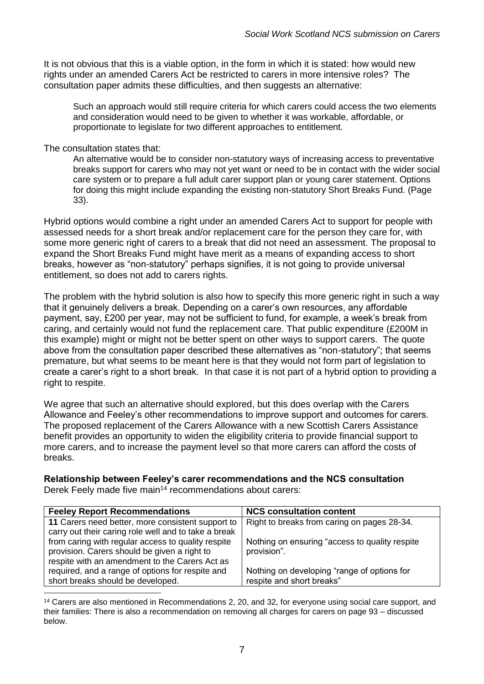It is not obvious that this is a viable option, in the form in which it is stated: how would new rights under an amended Carers Act be restricted to carers in more intensive roles? The consultation paper admits these difficulties, and then suggests an alternative:

Such an approach would still require criteria for which carers could access the two elements and consideration would need to be given to whether it was workable, affordable, or proportionate to legislate for two different approaches to entitlement.

#### The consultation states that:

An alternative would be to consider non-statutory ways of increasing access to preventative breaks support for carers who may not yet want or need to be in contact with the wider social care system or to prepare a full adult carer support plan or young carer statement. Options for doing this might include expanding the existing non-statutory Short Breaks Fund. (Page 33).

Hybrid options would combine a right under an amended Carers Act to support for people with assessed needs for a short break and/or replacement care for the person they care for, with some more generic right of carers to a break that did not need an assessment. The proposal to expand the Short Breaks Fund might have merit as a means of expanding access to short breaks, however as "non-statutory" perhaps signifies, it is not going to provide universal entitlement, so does not add to carers rights.

The problem with the hybrid solution is also how to specify this more generic right in such a way that it genuinely delivers a break. Depending on a carer's own resources, any affordable payment, say, £200 per year, may not be sufficient to fund, for example, a week's break from caring, and certainly would not fund the replacement care. That public expenditure (£200M in this example) might or might not be better spent on other ways to support carers. The quote above from the consultation paper described these alternatives as "non-statutory"; that seems premature, but what seems to be meant here is that they would not form part of legislation to create a carer's right to a short break. In that case it is not part of a hybrid option to providing a right to respite.

We agree that such an alternative should explored, but this does overlap with the Carers Allowance and Feeley's other recommendations to improve support and outcomes for carers. The proposed replacement of the Carers Allowance with a new Scottish Carers Assistance benefit provides an opportunity to widen the eligibility criteria to provide financial support to more carers, and to increase the payment level so that more carers can afford the costs of breaks.

# **Relationship between Feeley's carer recommendations and the NCS consultation**

Derek Feely made five main<sup>14</sup> recommendations about carers:

| <b>Feeley Report Recommendations</b>                 | <b>NCS consultation content</b>                 |
|------------------------------------------------------|-------------------------------------------------|
| 11 Carers need better, more consistent support to    | Right to breaks from caring on pages 28-34.     |
| carry out their caring role well and to take a break |                                                 |
| from caring with regular access to quality respite   | Nothing on ensuring "access to quality respite" |
| provision. Carers should be given a right to         | provision".                                     |
| respite with an amendment to the Carers Act as       |                                                 |
| required, and a range of options for respite and     | Nothing on developing "range of options for     |
| short breaks should be developed.                    | respite and short breaks"                       |
|                                                      |                                                 |

<sup>14</sup> Carers are also mentioned in Recommendations 2, 20, and 32, for everyone using social care support, and their families: There is also a recommendation on removing all charges for carers on page 93 – discussed below.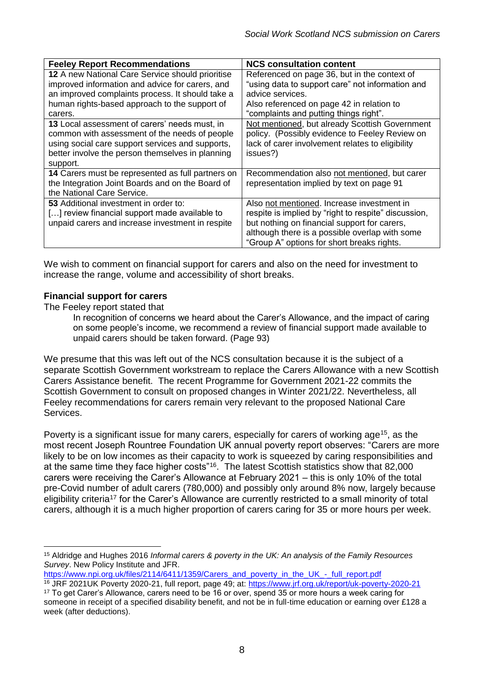| <b>Feeley Report Recommendations</b>              | <b>NCS consultation content</b>                      |
|---------------------------------------------------|------------------------------------------------------|
| 12 A new National Care Service should prioritise  | Referenced on page 36, but in the context of         |
| improved information and advice for carers, and   | "using data to support care" not information and     |
| an improved complaints process. It should take a  | advice services.                                     |
| human rights-based approach to the support of     | Also referenced on page 42 in relation to            |
| carers.                                           | "complaints and putting things right".               |
| 13 Local assessment of carers' needs must, in     | Not mentioned, but already Scottish Government       |
| common with assessment of the needs of people     | policy. (Possibly evidence to Feeley Review on       |
| using social care support services and supports,  | lack of carer involvement relates to eligibility     |
| better involve the person themselves in planning  | issues?)                                             |
| support.                                          |                                                      |
| 14 Carers must be represented as full partners on | Recommendation also not mentioned, but carer         |
| the Integration Joint Boards and on the Board of  | representation implied by text on page 91            |
| the National Care Service.                        |                                                      |
| <b>53</b> Additional investment in order to:      | Also not mentioned. Increase investment in           |
| [] review financial support made available to     | respite is implied by "right to respite" discussion, |
| unpaid carers and increase investment in respite  | but nothing on financial support for carers,         |
|                                                   | although there is a possible overlap with some       |
|                                                   | "Group A" options for short breaks rights.           |

We wish to comment on financial support for carers and also on the need for investment to increase the range, volume and accessibility of short breaks.

### **Financial support for carers**

The Feeley report stated that

In recognition of concerns we heard about the Carer's Allowance, and the impact of caring on some people's income, we recommend a review of financial support made available to unpaid carers should be taken forward. (Page 93)

We presume that this was left out of the NCS consultation because it is the subject of a separate Scottish Government workstream to replace the Carers Allowance with a new Scottish Carers Assistance benefit. The recent Programme for Government 2021-22 commits the Scottish Government to consult on proposed changes in Winter 2021/22. Nevertheless, all Feeley recommendations for carers remain very relevant to the proposed National Care Services.

Poverty is a significant issue for many carers, especially for carers of working age<sup>15</sup>, as the most recent Joseph Rountree Foundation UK annual poverty report observes: "Carers are more likely to be on low incomes as their capacity to work is squeezed by caring responsibilities and at the same time they face higher costs"<sup>16</sup>. The latest Scottish statistics show that 82,000 carers were receiving the Carer's Allowance at February 2021 – this is only 10% of the total pre-Covid number of adult carers (780,000) and possibly only around 8% now, largely because eligibility criteria<sup>17</sup> for the Carer's Allowance are currently restricted to a small minority of total carers, although it is a much higher proportion of carers caring for 35 or more hours per week.

[https://www.npi.org.uk/files/2114/6411/1359/Carers\\_and\\_poverty\\_in\\_the\\_UK\\_-\\_full\\_report.pdf](https://www.npi.org.uk/files/2114/6411/1359/Carers_and_poverty_in_the_UK_-_full_report.pdf)

<sup>1</sup> <sup>15</sup> Aldridge and Hughes 2016 *Informal carers & poverty in the UK: An analysis of the Family Resources Survey*. New Policy Institute and JFR.

<sup>16</sup> JRF 2021UK Poverty 2020-21, full report, page 49; at:<https://www.jrf.org.uk/report/uk-poverty-2020-21> <sup>17</sup> To get Carer's Allowance, carers need to be 16 or over, spend 35 or more hours a week caring for someone in receipt of a specified disability benefit, and not be in full-time education or earning over £128 a week (after deductions).